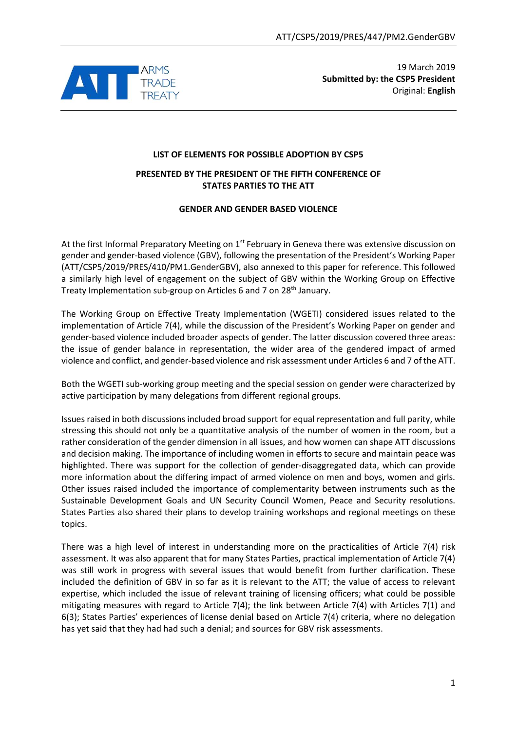

19 March 2019 **Submitted by: the CSP5 President** Original: **English**

# **LIST OF ELEMENTS FOR POSSIBLE ADOPTION BY CSP5**

### **PRESENTED BY THE PRESIDENT OF THE FIFTH CONFERENCE OF STATES PARTIES TO THE ATT**

### **GENDER AND GENDER BASED VIOLENCE**

At the first Informal Preparatory Meeting on 1<sup>st</sup> February in Geneva there was extensive discussion on gender and gender-based violence (GBV), following the presentation of the President's Working Paper (ATT/CSP5/2019/PRES/410/PM1.GenderGBV), also annexed to this paper for reference. This followed a similarly high level of engagement on the subject of GBV within the Working Group on Effective Treaty Implementation sub-group on Articles 6 and 7 on 28<sup>th</sup> January.

The Working Group on Effective Treaty Implementation (WGETI) considered issues related to the implementation of Article 7(4), while the discussion of the President's Working Paper on gender and gender-based violence included broader aspects of gender. The latter discussion covered three areas: the issue of gender balance in representation, the wider area of the gendered impact of armed violence and conflict, and gender-based violence and risk assessment under Articles 6 and 7 of the ATT.

Both the WGETI sub-working group meeting and the special session on gender were characterized by active participation by many delegations from different regional groups.

Issues raised in both discussions included broad support for equal representation and full parity, while stressing this should not only be a quantitative analysis of the number of women in the room, but a rather consideration of the gender dimension in all issues, and how women can shape ATT discussions and decision making. The importance of including women in efforts to secure and maintain peace was highlighted. There was support for the collection of gender-disaggregated data, which can provide more information about the differing impact of armed violence on men and boys, women and girls. Other issues raised included the importance of complementarity between instruments such as the Sustainable Development Goals and UN Security Council Women, Peace and Security resolutions. States Parties also shared their plans to develop training workshops and regional meetings on these topics.

There was a high level of interest in understanding more on the practicalities of Article 7(4) risk assessment. It was also apparent that for many States Parties, practical implementation of Article 7(4) was still work in progress with several issues that would benefit from further clarification. These included the definition of GBV in so far as it is relevant to the ATT; the value of access to relevant expertise, which included the issue of relevant training of licensing officers; what could be possible mitigating measures with regard to Article 7(4); the link between Article 7(4) with Articles 7(1) and 6(3); States Parties' experiences of license denial based on Article 7(4) criteria, where no delegation has yet said that they had had such a denial; and sources for GBV risk assessments.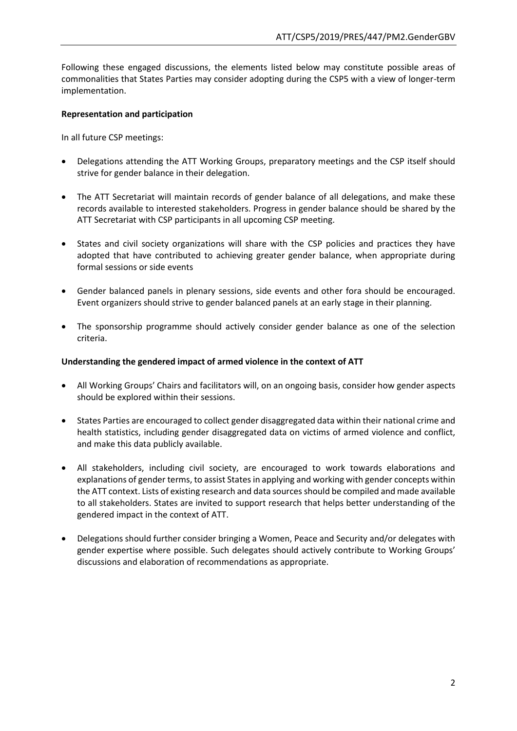Following these engaged discussions, the elements listed below may constitute possible areas of commonalities that States Parties may consider adopting during the CSP5 with a view of longer-term implementation.

## **Representation and participation**

In all future CSP meetings:

- Delegations attending the ATT Working Groups, preparatory meetings and the CSP itself should strive for gender balance in their delegation.
- The ATT Secretariat will maintain records of gender balance of all delegations, and make these records available to interested stakeholders. Progress in gender balance should be shared by the ATT Secretariat with CSP participants in all upcoming CSP meeting.
- States and civil society organizations will share with the CSP policies and practices they have adopted that have contributed to achieving greater gender balance, when appropriate during formal sessions or side events
- Gender balanced panels in plenary sessions, side events and other fora should be encouraged. Event organizers should strive to gender balanced panels at an early stage in their planning.
- The sponsorship programme should actively consider gender balance as one of the selection criteria.

## **Understanding the gendered impact of armed violence in the context of ATT**

- All Working Groups' Chairs and facilitators will, on an ongoing basis, consider how gender aspects should be explored within their sessions.
- States Parties are encouraged to collect gender disaggregated data within their national crime and health statistics, including gender disaggregated data on victims of armed violence and conflict, and make this data publicly available.
- All stakeholders, including civil society, are encouraged to work towards elaborations and explanations of gender terms, to assist States in applying and working with gender concepts within the ATT context. Lists of existing research and data sources should be compiled and made available to all stakeholders. States are invited to support research that helps better understanding of the gendered impact in the context of ATT.
- Delegations should further consider bringing a Women, Peace and Security and/or delegates with gender expertise where possible. Such delegates should actively contribute to Working Groups' discussions and elaboration of recommendations as appropriate.